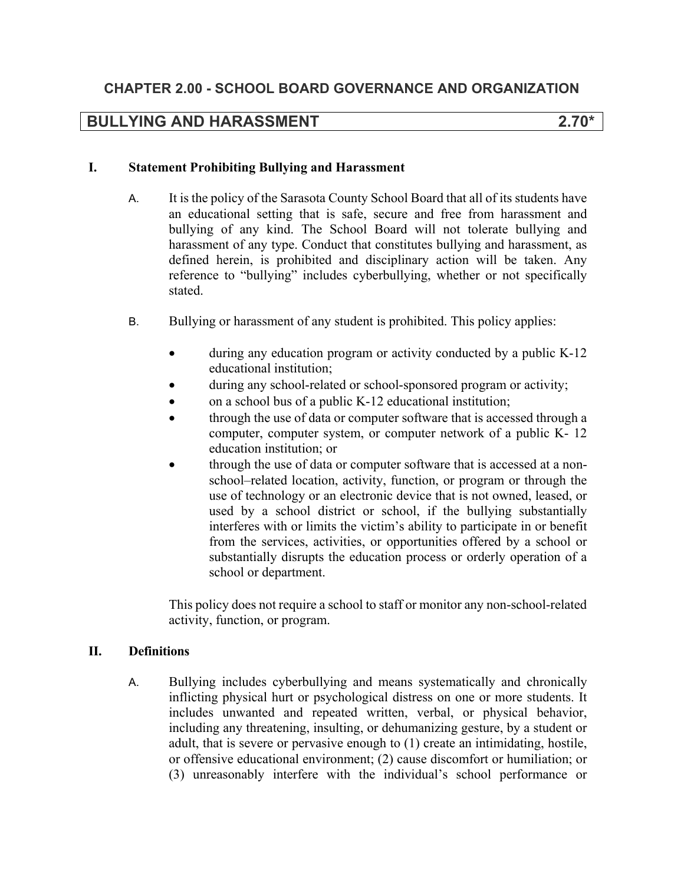# **BULLYING AND HARASSMENT 2.70\***

#### **I. Statement Prohibiting Bullying and Harassment**

- A. It is the policy of the Sarasota County School Board that all of its students have an educational setting that is safe, secure and free from harassment and bullying of any kind. The School Board will not tolerate bullying and harassment of any type. Conduct that constitutes bullying and harassment, as defined herein, is prohibited and disciplinary action will be taken. Any reference to "bullying" includes cyberbullying, whether or not specifically stated.
- B. Bullying or harassment of any student is prohibited. This policy applies:
	- during any education program or activity conducted by a public K-12 educational institution;
	- during any school-related or school-sponsored program or activity;
	- on a school bus of a public K-12 educational institution;
	- through the use of data or computer software that is accessed through a computer, computer system, or computer network of a public K- 12 education institution; or
	- through the use of data or computer software that is accessed at a nonschool–related location, activity, function, or program or through the use of technology or an electronic device that is not owned, leased, or used by a school district or school, if the bullying substantially interferes with or limits the victim's ability to participate in or benefit from the services, activities, or opportunities offered by a school or substantially disrupts the education process or orderly operation of a school or department.

This policy does not require a school to staff or monitor any non-school-related activity, function, or program.

### **II. Definitions**

A. Bullying includes cyberbullying and means systematically and chronically inflicting physical hurt or psychological distress on one or more students. It includes unwanted and repeated written, verbal, or physical behavior, including any threatening, insulting, or dehumanizing gesture, by a student or adult, that is severe or pervasive enough to (1) create an intimidating, hostile, or offensive educational environment; (2) cause discomfort or humiliation; or (3) unreasonably interfere with the individual's school performance or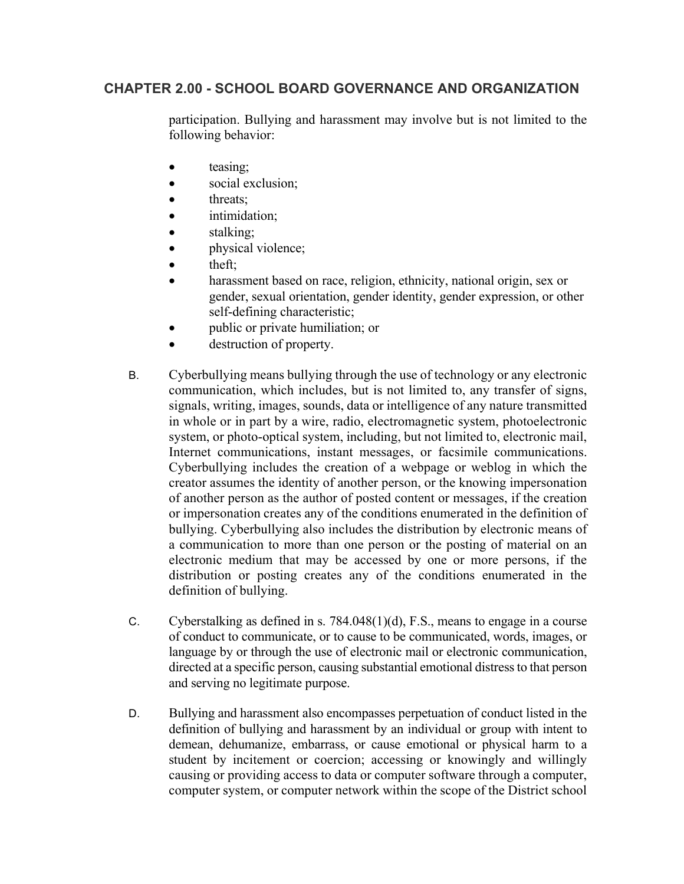participation. Bullying and harassment may involve but is not limited to the following behavior:

- teasing;
- social exclusion;
- threats;
- intimidation;
- stalking;
- physical violence;
- theft;
- harassment based on race, religion, ethnicity, national origin, sex or gender, sexual orientation, gender identity, gender expression, or other self-defining characteristic;
- public or private humiliation; or
- destruction of property.
- B. Cyberbullying means bullying through the use of technology or any electronic communication, which includes, but is not limited to, any transfer of signs, signals, writing, images, sounds, data or intelligence of any nature transmitted in whole or in part by a wire, radio, electromagnetic system, photoelectronic system, or photo-optical system, including, but not limited to, electronic mail, Internet communications, instant messages, or facsimile communications. Cyberbullying includes the creation of a webpage or weblog in which the creator assumes the identity of another person, or the knowing impersonation of another person as the author of posted content or messages, if the creation or impersonation creates any of the conditions enumerated in the definition of bullying. Cyberbullying also includes the distribution by electronic means of a communication to more than one person or the posting of material on an electronic medium that may be accessed by one or more persons, if the distribution or posting creates any of the conditions enumerated in the definition of bullying.
- C. Cyberstalking as defined in s. 784.048(1)(d), F.S., means to engage in a course of conduct to communicate, or to cause to be communicated, words, images, or language by or through the use of electronic mail or electronic communication, directed at a specific person, causing substantial emotional distress to that person and serving no legitimate purpose.
- D. Bullying and harassment also encompasses perpetuation of conduct listed in the definition of bullying and harassment by an individual or group with intent to demean, dehumanize, embarrass, or cause emotional or physical harm to a student by incitement or coercion; accessing or knowingly and willingly causing or providing access to data or computer software through a computer, computer system, or computer network within the scope of the District school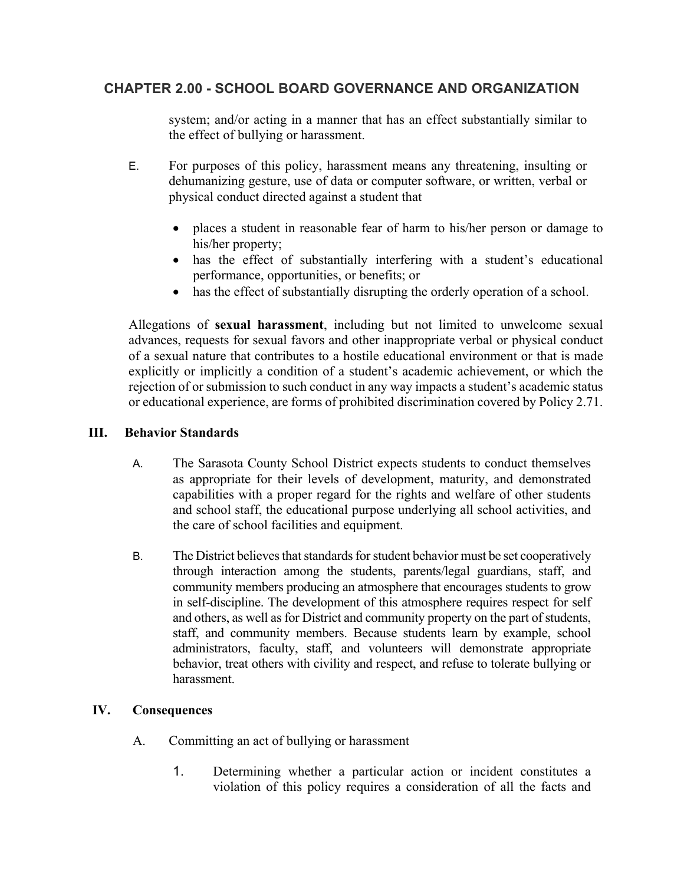system; and/or acting in a manner that has an effect substantially similar to the effect of bullying or harassment.

- E. For purposes of this policy, harassment means any threatening, insulting or dehumanizing gesture, use of data or computer software, or written, verbal or physical conduct directed against a student that
	- places a student in reasonable fear of harm to his/her person or damage to his/her property;
	- has the effect of substantially interfering with a student's educational performance, opportunities, or benefits; or
	- has the effect of substantially disrupting the orderly operation of a school.

Allegations of **sexual harassment**, including but not limited to unwelcome sexual advances, requests for sexual favors and other inappropriate verbal or physical conduct of a sexual nature that contributes to a hostile educational environment or that is made explicitly or implicitly a condition of a student's academic achievement, or which the rejection of or submission to such conduct in any way impacts a student's academic status or educational experience, are forms of prohibited discrimination covered by Policy 2.71.

### **III. Behavior Standards**

- A. The Sarasota County School District expects students to conduct themselves as appropriate for their levels of development, maturity, and demonstrated capabilities with a proper regard for the rights and welfare of other students and school staff, the educational purpose underlying all school activities, and the care of school facilities and equipment.
- B. The District believes that standards for student behavior must be set cooperatively through interaction among the students, parents/legal guardians, staff, and community members producing an atmosphere that encourages students to grow in self-discipline. The development of this atmosphere requires respect for self and others, as well as for District and community property on the part of students, staff, and community members. Because students learn by example, school administrators, faculty, staff, and volunteers will demonstrate appropriate behavior, treat others with civility and respect, and refuse to tolerate bullying or harassment.

### **IV. Consequences**

- A. Committing an act of bullying or harassment
	- 1. Determining whether a particular action or incident constitutes a violation of this policy requires a consideration of all the facts and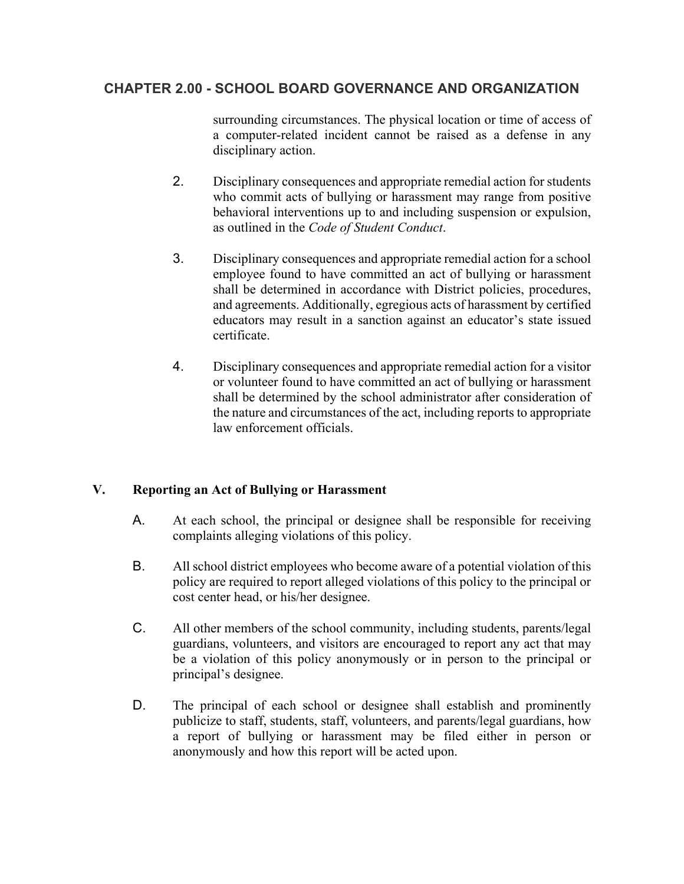surrounding circumstances. The physical location or time of access of a computer-related incident cannot be raised as a defense in any disciplinary action.

- 2. Disciplinary consequences and appropriate remedial action for students who commit acts of bullying or harassment may range from positive behavioral interventions up to and including suspension or expulsion, as outlined in the *Code of Student Conduct*.
- 3. Disciplinary consequences and appropriate remedial action for a school employee found to have committed an act of bullying or harassment shall be determined in accordance with District policies, procedures, and agreements. Additionally, egregious acts of harassment by certified educators may result in a sanction against an educator's state issued certificate.
- 4. Disciplinary consequences and appropriate remedial action for a visitor or volunteer found to have committed an act of bullying or harassment shall be determined by the school administrator after consideration of the nature and circumstances of the act, including reports to appropriate law enforcement officials.

### **V. Reporting an Act of Bullying or Harassment**

- A. At each school, the principal or designee shall be responsible for receiving complaints alleging violations of this policy.
- B. All school district employees who become aware of a potential violation of this policy are required to report alleged violations of this policy to the principal or cost center head, or his/her designee.
- C. All other members of the school community, including students, parents/legal guardians, volunteers, and visitors are encouraged to report any act that may be a violation of this policy anonymously or in person to the principal or principal's designee.
- D. The principal of each school or designee shall establish and prominently publicize to staff, students, staff, volunteers, and parents/legal guardians, how a report of bullying or harassment may be filed either in person or anonymously and how this report will be acted upon.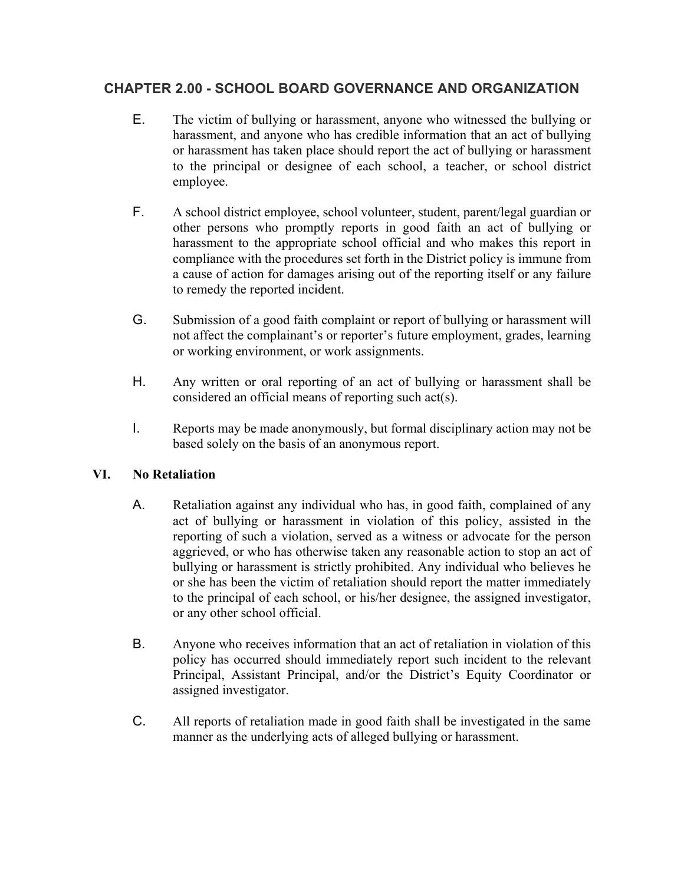- E. The victim of bullying or harassment, anyone who witnessed the bullying or harassment, and anyone who has credible information that an act of bullying or harassment has taken place should report the act of bullying or harassment to the principal or designee of each school, a teacher, or school district employee.
- F. A school district employee, school volunteer, student, parent/legal guardian or other persons who promptly reports in good faith an act of bullying or harassment to the appropriate school official and who makes this report in compliance with the procedures set forth in the District policy is immune from a cause of action for damages arising out of the reporting itself or any failure to remedy the reported incident.
- G. Submission of a good faith complaint or report of bullying or harassment will not affect the complainant's or reporter's future employment, grades, learning or working environment, or work assignments.
- H. Any written or oral reporting of an act of bullying or harassment shall be considered an official means of reporting such act(s).
- I. Reports may be made anonymously, but formal disciplinary action may not be based solely on the basis of an anonymous report.

### **VI. No Retaliation**

- A. Retaliation against any individual who has, in good faith, complained of any act of bullying or harassment in violation of this policy, assisted in the reporting of such a violation, served as a witness or advocate for the person aggrieved, or who has otherwise taken any reasonable action to stop an act of bullying or harassment is strictly prohibited. Any individual who believes he or she has been the victim of retaliation should report the matter immediately to the principal of each school, or his/her designee, the assigned investigator, or any other school official.
- B. Anyone who receives information that an act of retaliation in violation of this policy has occurred should immediately report such incident to the relevant Principal, Assistant Principal, and/or the District's Equity Coordinator or assigned investigator.
- C. All reports of retaliation made in good faith shall be investigated in the same manner as the underlying acts of alleged bullying or harassment.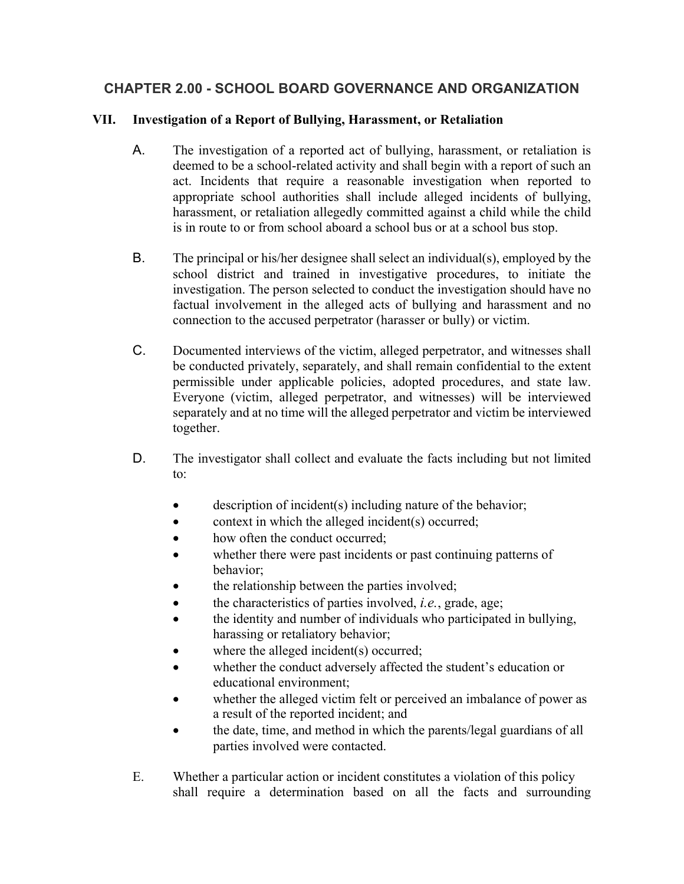## **VII. Investigation of a Report of Bullying, Harassment, or Retaliation**

- A. The investigation of a reported act of bullying, harassment, or retaliation is deemed to be a school-related activity and shall begin with a report of such an act. Incidents that require a reasonable investigation when reported to appropriate school authorities shall include alleged incidents of bullying, harassment, or retaliation allegedly committed against a child while the child is in route to or from school aboard a school bus or at a school bus stop.
- B. The principal or his/her designee shall select an individual(s), employed by the school district and trained in investigative procedures, to initiate the investigation. The person selected to conduct the investigation should have no factual involvement in the alleged acts of bullying and harassment and no connection to the accused perpetrator (harasser or bully) or victim.
- C. Documented interviews of the victim, alleged perpetrator, and witnesses shall be conducted privately, separately, and shall remain confidential to the extent permissible under applicable policies, adopted procedures, and state law. Everyone (victim, alleged perpetrator, and witnesses) will be interviewed separately and at no time will the alleged perpetrator and victim be interviewed together.
- D. The investigator shall collect and evaluate the facts including but not limited to:
	- description of incident(s) including nature of the behavior;
	- context in which the alleged incident(s) occurred;
	- how often the conduct occurred:
	- whether there were past incidents or past continuing patterns of behavior;
	- the relationship between the parties involved;
	- the characteristics of parties involved, *i.e.*, grade, age;
	- the identity and number of individuals who participated in bullying, harassing or retaliatory behavior;
	- where the alleged incident(s) occurred;
	- whether the conduct adversely affected the student's education or educational environment;
	- whether the alleged victim felt or perceived an imbalance of power as a result of the reported incident; and
	- the date, time, and method in which the parents/legal guardians of all parties involved were contacted.
- E. Whether a particular action or incident constitutes a violation of this policy shall require a determination based on all the facts and surrounding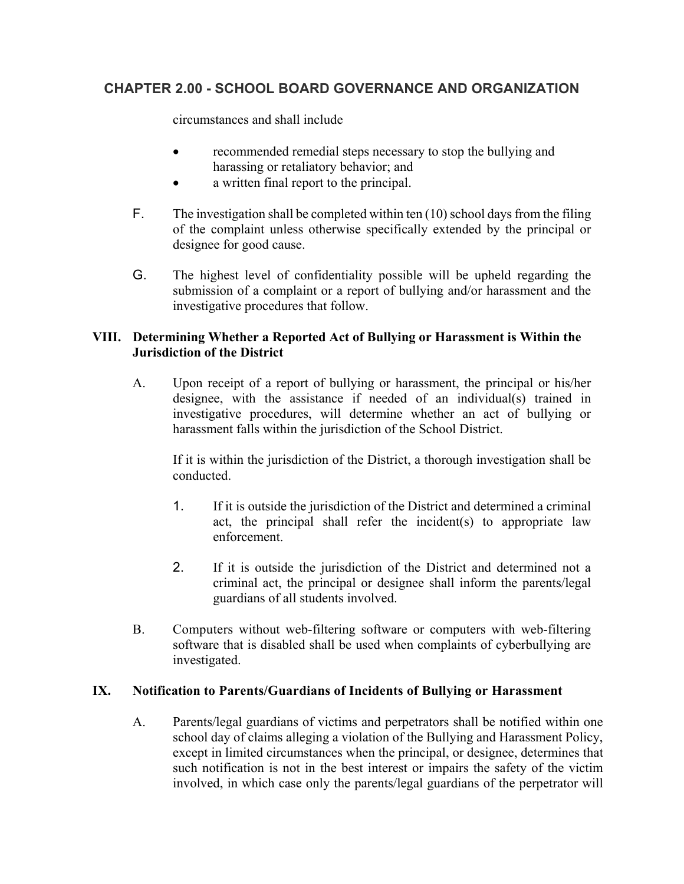circumstances and shall include

- recommended remedial steps necessary to stop the bullying and harassing or retaliatory behavior; and
- a written final report to the principal.
- F. The investigation shall be completed within ten  $(10)$  school days from the filing of the complaint unless otherwise specifically extended by the principal or designee for good cause.
- G. The highest level of confidentiality possible will be upheld regarding the submission of a complaint or a report of bullying and/or harassment and the investigative procedures that follow.

### **VIII. Determining Whether a Reported Act of Bullying or Harassment is Within the Jurisdiction of the District**

A. Upon receipt of a report of bullying or harassment, the principal or his/her designee, with the assistance if needed of an individual(s) trained in investigative procedures, will determine whether an act of bullying or harassment falls within the jurisdiction of the School District.

 If it is within the jurisdiction of the District, a thorough investigation shall be conducted.

- 1. If it is outside the jurisdiction of the District and determined a criminal act, the principal shall refer the incident(s) to appropriate law enforcement.
- 2. If it is outside the jurisdiction of the District and determined not a criminal act, the principal or designee shall inform the parents/legal guardians of all students involved.
- B. Computers without web-filtering software or computers with web-filtering software that is disabled shall be used when complaints of cyberbullying are investigated.

### **IX. Notification to Parents/Guardians of Incidents of Bullying or Harassment**

A. Parents/legal guardians of victims and perpetrators shall be notified within one school day of claims alleging a violation of the Bullying and Harassment Policy, except in limited circumstances when the principal, or designee, determines that such notification is not in the best interest or impairs the safety of the victim involved, in which case only the parents/legal guardians of the perpetrator will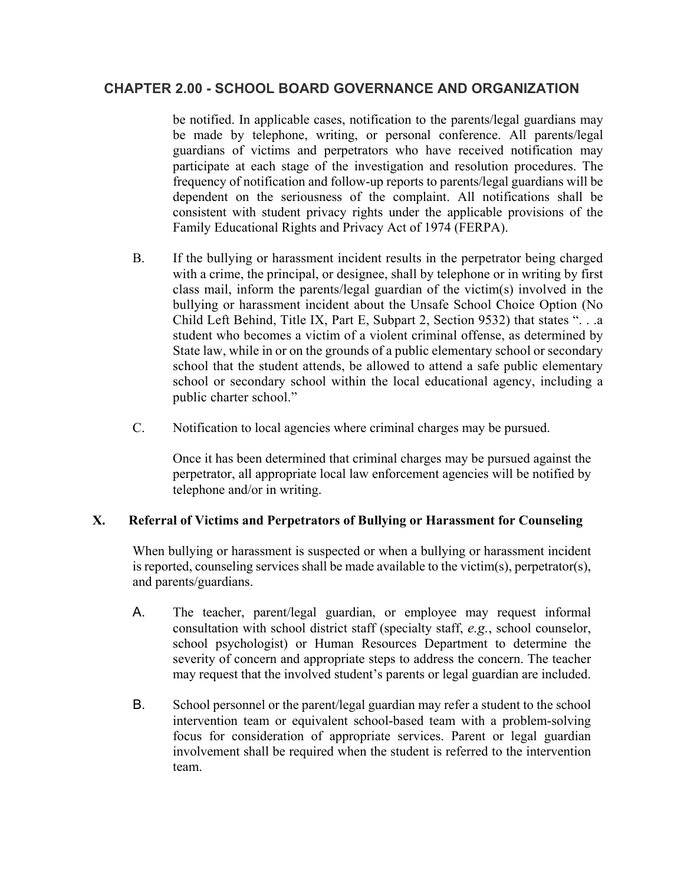be notified. In applicable cases, notification to the parents/legal guardians may be made by telephone, writing, or personal conference. All parents/legal guardians of victims and perpetrators who have received notification may participate at each stage of the investigation and resolution procedures. The frequency of notification and follow-up reports to parents/legal guardians will be dependent on the seriousness of the complaint. All notifications shall be consistent with student privacy rights under the applicable provisions of the Family Educational Rights and Privacy Act of 1974 (FERPA).

- B. If the bullying or harassment incident results in the perpetrator being charged with a crime, the principal, or designee, shall by telephone or in writing by first class mail, inform the parents/legal guardian of the victim(s) involved in the bullying or harassment incident about the Unsafe School Choice Option (No Child Left Behind, Title IX, Part E, Subpart 2, Section 9532) that states ". . .a student who becomes a victim of a violent criminal offense, as determined by State law, while in or on the grounds of a public elementary school or secondary school that the student attends, be allowed to attend a safe public elementary school or secondary school within the local educational agency, including a public charter school."
- C. Notification to local agencies where criminal charges may be pursued.

Once it has been determined that criminal charges may be pursued against the perpetrator, all appropriate local law enforcement agencies will be notified by telephone and/or in writing.

### **X. Referral of Victims and Perpetrators of Bullying or Harassment for Counseling**

When bullying or harassment is suspected or when a bullying or harassment incident is reported, counseling services shall be made available to the victim(s), perpetrator(s), and parents/guardians.

- A. The teacher, parent/legal guardian, or employee may request informal consultation with school district staff (specialty staff, *e.g.*, school counselor, school psychologist) or Human Resources Department to determine the severity of concern and appropriate steps to address the concern. The teacher may request that the involved student's parents or legal guardian are included.
- B. School personnel or the parent/legal guardian may refer a student to the school intervention team or equivalent school-based team with a problem-solving focus for consideration of appropriate services. Parent or legal guardian involvement shall be required when the student is referred to the intervention team.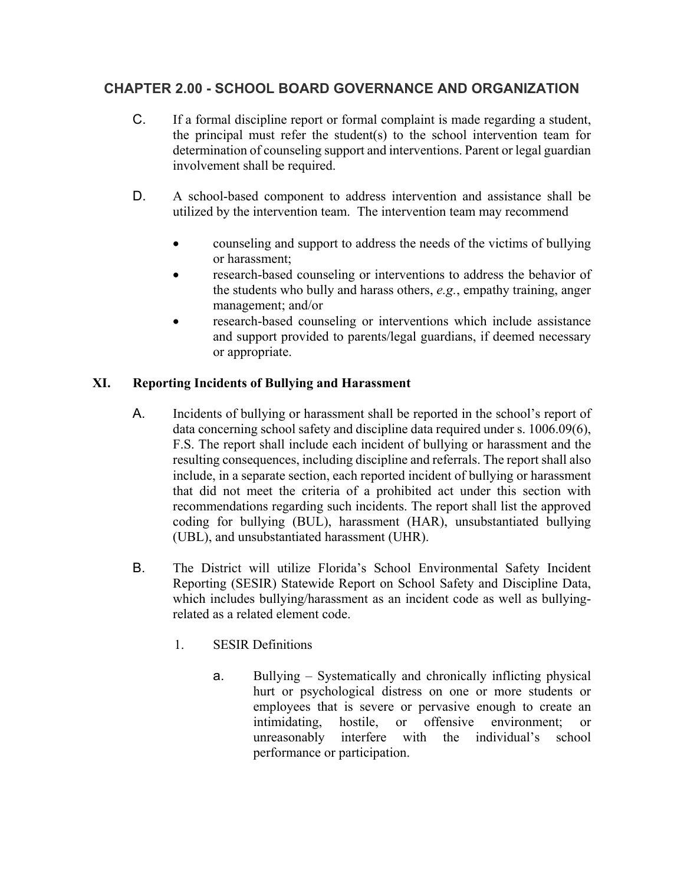- C. If a formal discipline report or formal complaint is made regarding a student, the principal must refer the student(s) to the school intervention team for determination of counseling support and interventions. Parent or legal guardian involvement shall be required.
- D. A school-based component to address intervention and assistance shall be utilized by the intervention team. The intervention team may recommend
	- counseling and support to address the needs of the victims of bullying or harassment;
	- research-based counseling or interventions to address the behavior of the students who bully and harass others, *e.g.*, empathy training, anger management; and/or
	- research-based counseling or interventions which include assistance and support provided to parents/legal guardians, if deemed necessary or appropriate.

## **XI. Reporting Incidents of Bullying and Harassment**

- A. Incidents of bullying or harassment shall be reported in the school's report of data concerning school safety and discipline data required under s. 1006.09(6), F.S. The report shall include each incident of bullying or harassment and the resulting consequences, including discipline and referrals. The report shall also include, in a separate section, each reported incident of bullying or harassment that did not meet the criteria of a prohibited act under this section with recommendations regarding such incidents. The report shall list the approved coding for bullying (BUL), harassment (HAR), unsubstantiated bullying (UBL), and unsubstantiated harassment (UHR).
- B. The District will utilize Florida's School Environmental Safety Incident Reporting (SESIR) Statewide Report on School Safety and Discipline Data, which includes bullying/harassment as an incident code as well as bullyingrelated as a related element code.
	- 1. SESIR Definitions
		- a. Bullying Systematically and chronically inflicting physical hurt or psychological distress on one or more students or employees that is severe or pervasive enough to create an intimidating, hostile, or offensive environment; or unreasonably interfere with the individual's school performance or participation.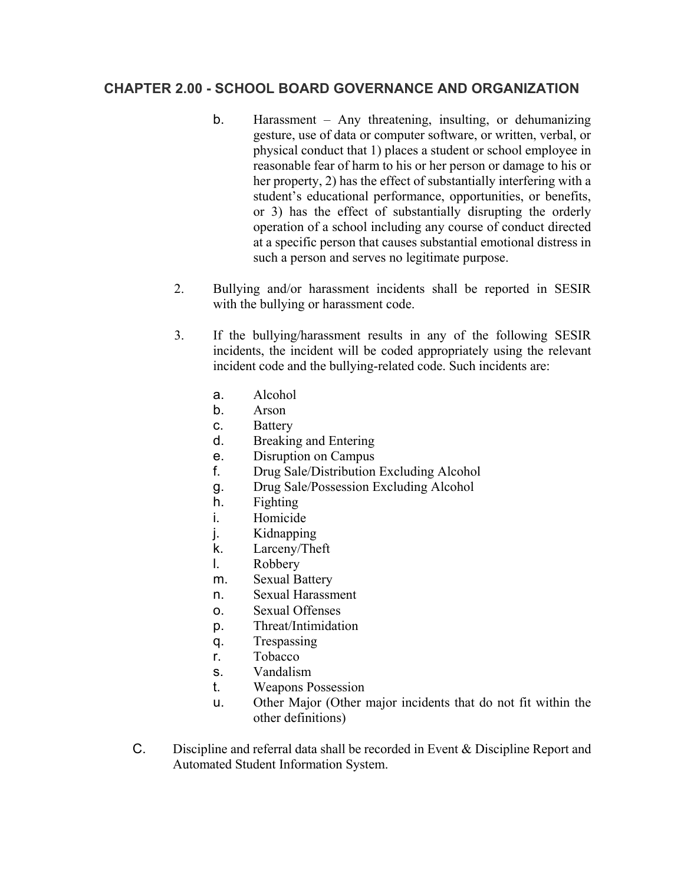- b. Harassment Any threatening, insulting, or dehumanizing gesture, use of data or computer software, or written, verbal, or physical conduct that 1) places a student or school employee in reasonable fear of harm to his or her person or damage to his or her property, 2) has the effect of substantially interfering with a student's educational performance, opportunities, or benefits, or 3) has the effect of substantially disrupting the orderly operation of a school including any course of conduct directed at a specific person that causes substantial emotional distress in such a person and serves no legitimate purpose.
- 2. Bullying and/or harassment incidents shall be reported in SESIR with the bullying or harassment code.
- 3. If the bullying/harassment results in any of the following SESIR incidents, the incident will be coded appropriately using the relevant incident code and the bullying-related code. Such incidents are:
	- a. Alcohol
	- b. Arson
	- c. Battery
	- d. Breaking and Entering
	- e. Disruption on Campus
	- f. Drug Sale/Distribution Excluding Alcohol
	- g. Drug Sale/Possession Excluding Alcohol
	- h. Fighting
	- i. Homicide
	- j. Kidnapping
	- k. Larceny/Theft
	- l. Robbery
	- m. Sexual Battery
	- n. Sexual Harassment
	- o. Sexual Offenses
	- p. Threat/Intimidation
	- q. Trespassing
	- r. Tobacco
	- s. Vandalism
	- t. Weapons Possession
	- u. Other Major (Other major incidents that do not fit within the other definitions)
- C. Discipline and referral data shall be recorded in Event & Discipline Report and Automated Student Information System.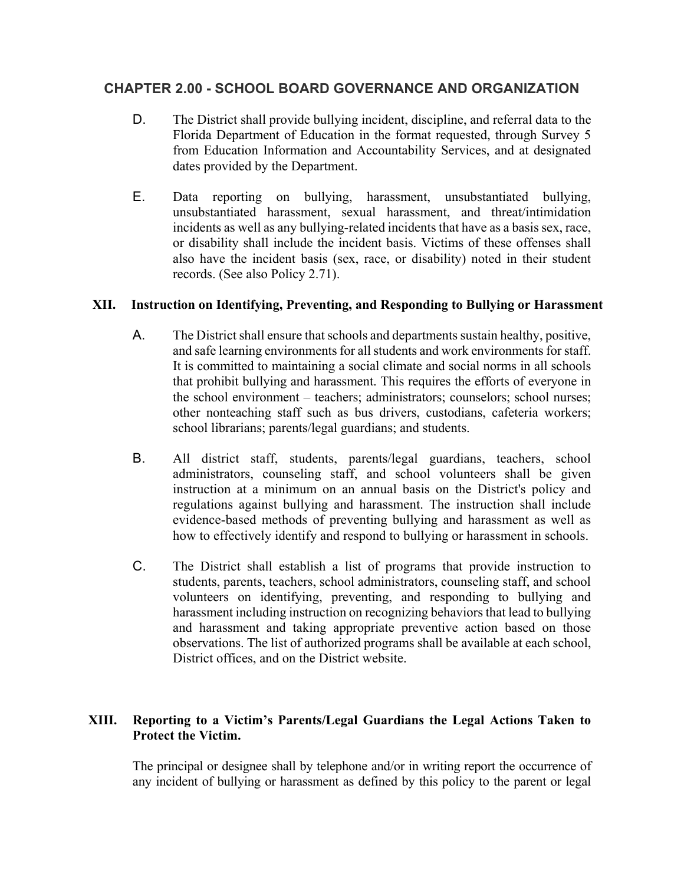- D. The District shall provide bullying incident, discipline, and referral data to the Florida Department of Education in the format requested, through Survey 5 from Education Information and Accountability Services, and at designated dates provided by the Department.
- E. Data reporting on bullying, harassment, unsubstantiated bullying, unsubstantiated harassment, sexual harassment, and threat/intimidation incidents as well as any bullying-related incidents that have as a basis sex, race, or disability shall include the incident basis. Victims of these offenses shall also have the incident basis (sex, race, or disability) noted in their student records. (See also Policy 2.71).

#### **XII. Instruction on Identifying, Preventing, and Responding to Bullying or Harassment**

- A. The District shall ensure that schools and departments sustain healthy, positive, and safe learning environments for all students and work environments for staff. It is committed to maintaining a social climate and social norms in all schools that prohibit bullying and harassment. This requires the efforts of everyone in the school environment – teachers; administrators; counselors; school nurses; other nonteaching staff such as bus drivers, custodians, cafeteria workers; school librarians; parents/legal guardians; and students.
- B. All district staff, students, parents/legal guardians, teachers, school administrators, counseling staff, and school volunteers shall be given instruction at a minimum on an annual basis on the District's policy and regulations against bullying and harassment. The instruction shall include evidence-based methods of preventing bullying and harassment as well as how to effectively identify and respond to bullying or harassment in schools.
- C. The District shall establish a list of programs that provide instruction to students, parents, teachers, school administrators, counseling staff, and school volunteers on identifying, preventing, and responding to bullying and harassment including instruction on recognizing behaviors that lead to bullying and harassment and taking appropriate preventive action based on those observations. The list of authorized programs shall be available at each school, District offices, and on the District website.

### **XIII. Reporting to a Victim's Parents/Legal Guardians the Legal Actions Taken to Protect the Victim.**

The principal or designee shall by telephone and/or in writing report the occurrence of any incident of bullying or harassment as defined by this policy to the parent or legal